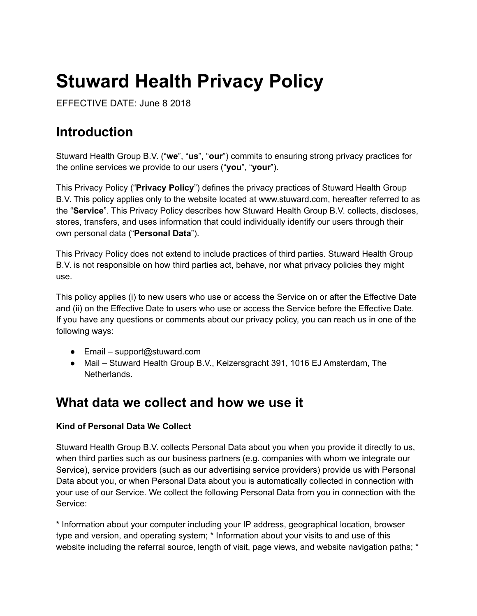# **Stuward Health Privacy Policy**

EFFECTIVE DATE: June 8 2018

### **Introduction**

Stuward Health Group B.V. ("**we**", "**us**", "**our**") commits to ensuring strong privacy practices for the online services we provide to our users ("**you**", "**your**").

This Privacy Policy ("**Privacy Policy**") defines the privacy practices of Stuward Health Group B.V. This policy applies only to the website located at www.stuward.com, hereafter referred to as the "**Service**". This Privacy Policy describes how Stuward Health Group B.V. collects, discloses, stores, transfers, and uses information that could individually identify our users through their own personal data ("**Personal Data**").

This Privacy Policy does not extend to include practices of third parties. Stuward Health Group B.V. is not responsible on how third parties act, behave, nor what privacy policies they might use.

This policy applies (i) to new users who use or access the Service on or after the Effective Date and (ii) on the Effective Date to users who use or access the Service before the Effective Date. If you have any questions or comments about our privacy policy, you can reach us in one of the following ways:

- $\bullet$  Email support@stuward.com
- Mail Stuward Health Group B.V., Keizersgracht 391, 1016 EJ Amsterdam, The Netherlands.

### **What data we collect and how we use it**

#### **Kind of Personal Data We Collect**

Stuward Health Group B.V. collects Personal Data about you when you provide it directly to us, when third parties such as our business partners (e.g. companies with whom we integrate our Service), service providers (such as our advertising service providers) provide us with Personal Data about you, or when Personal Data about you is automatically collected in connection with your use of our Service. We collect the following Personal Data from you in connection with the Service:

\* Information about your computer including your IP address, geographical location, browser type and version, and operating system; \* Information about your visits to and use of this website including the referral source, length of visit, page views, and website navigation paths; \*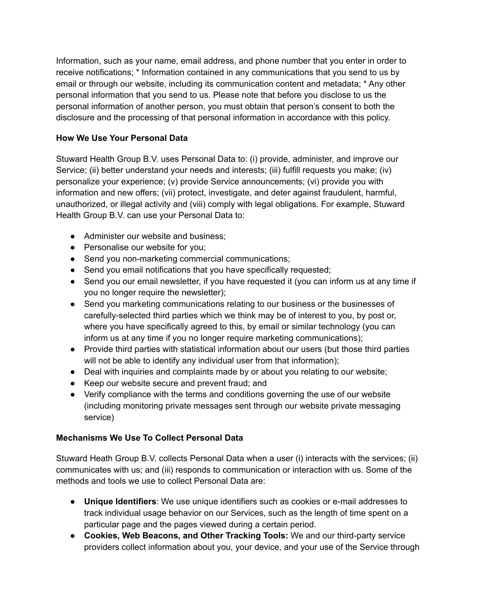Information, such as your name, email address, and phone number that you enter in order to receive notifications; \* Information contained in any communications that you send to us by email or through our website, including its communication content and metadata; \* Any other personal information that you send to us. Please note that before you disclose to us the personal information of another person, you must obtain that person's consent to both the disclosure and the processing of that personal information in accordance with this policy.

#### **How We Use Your Personal Data**

Stuward Health Group B.V. uses Personal Data to: (i) provide, administer, and improve our Service; (ii) better understand your needs and interests; (iii) fulfill requests you make; (iv) personalize your experience; (v) provide Service announcements; (vi) provide you with information and new offers; (vii) protect, investigate, and deter against fraudulent, harmful, unauthorized, or illegal activity and (viii) comply with legal obligations. For example, Stuward Health Group B.V. can use your Personal Data to:

- Administer our website and business:
- Personalise our website for you;
- Send you non-marketing commercial communications;
- Send you email notifications that you have specifically requested;
- Send you our email newsletter, if you have requested it (you can inform us at any time if you no longer require the newsletter);
- Send you marketing communications relating to our business or the businesses of carefully-selected third parties which we think may be of interest to you, by post or, where you have specifically agreed to this, by email or similar technology (you can inform us at any time if you no longer require marketing communications);
- Provide third parties with statistical information about our users (but those third parties will not be able to identify any individual user from that information);
- Deal with inquiries and complaints made by or about you relating to our website;
- Keep our website secure and prevent fraud; and
- Verify compliance with the terms and conditions governing the use of our website (including monitoring private messages sent through our website private messaging service)

#### **Mechanisms We Use To Collect Personal Data**

Stuward Heath Group B.V. collects Personal Data when a user (i) interacts with the services; (ii) communicates with us; and (iii) responds to communication or interaction with us. Some of the methods and tools we use to collect Personal Data are:

- **Unique Identifiers**: We use unique identifiers such as cookies or e-mail addresses to track individual usage behavior on our Services, such as the length of time spent on a particular page and the pages viewed during a certain period.
- **Cookies, Web Beacons, and Other Tracking Tools:** We and our third-party service providers collect information about you, your device, and your use of the Service through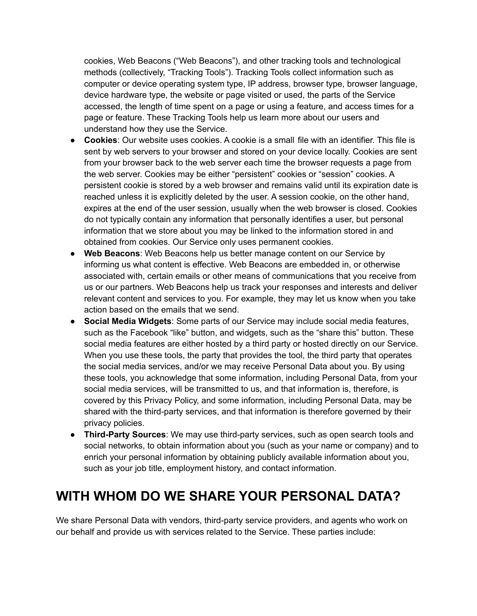cookies, Web Beacons ("Web Beacons"), and other tracking tools and technological methods (collectively, "Tracking Tools"). Tracking Tools collect information such as computer or device operating system type, IP address, browser type, browser language, device hardware type, the website or page visited or used, the parts of the Service accessed, the length of time spent on a page or using a feature, and access times for a page or feature. These Tracking Tools help us learn more about our users and understand how they use the Service.

- **Cookies**: Our website uses cookies. A cookie is a small file with an identifier. This file is sent by web servers to your browser and stored on your device locally. Cookies are sent from your browser back to the web server each time the browser requests a page from the web server. Cookies may be either "persistent" cookies or "session" cookies. A persistent cookie is stored by a web browser and remains valid until its expiration date is reached unless it is explicitly deleted by the user. A session cookie, on the other hand, expires at the end of the user session, usually when the web browser is closed. Cookies do not typically contain any information that personally identifies a user, but personal information that we store about you may be linked to the information stored in and obtained from cookies. Our Service only uses permanent cookies.
- **Web Beacons**: Web Beacons help us better manage content on our Service by informing us what content is effective. Web Beacons are embedded in, or otherwise associated with, certain emails or other means of communications that you receive from us or our partners. Web Beacons help us track your responses and interests and deliver relevant content and services to you. For example, they may let us know when you take action based on the emails that we send.
- **Social Media Widgets**: Some parts of our Service may include social media features, such as the Facebook "like" button, and widgets, such as the "share this" button. These social media features are either hosted by a third party or hosted directly on our Service. When you use these tools, the party that provides the tool, the third party that operates the social media services, and/or we may receive Personal Data about you. By using these tools, you acknowledge that some information, including Personal Data, from your social media services, will be transmitted to us, and that information is, therefore, is covered by this Privacy Policy, and some information, including Personal Data, may be shared with the third-party services, and that information is therefore governed by their privacy policies.
- **Third-Party Sources**: We may use third-party services, such as open search tools and social networks, to obtain information about you (such as your name or company) and to enrich your personal information by obtaining publicly available information about you, such as your job title, employment history, and contact information.

### **WITH WHOM DO WE SHARE YOUR PERSONAL DATA?**

We share Personal Data with vendors, third-party service providers, and agents who work on our behalf and provide us with services related to the Service. These parties include: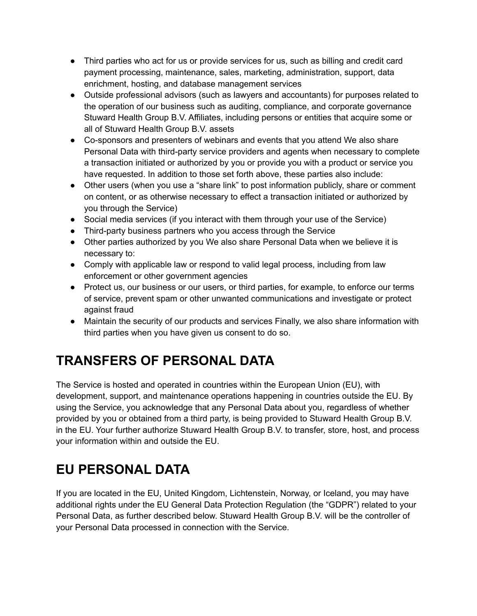- Third parties who act for us or provide services for us, such as billing and credit card payment processing, maintenance, sales, marketing, administration, support, data enrichment, hosting, and database management services
- Outside professional advisors (such as lawyers and accountants) for purposes related to the operation of our business such as auditing, compliance, and corporate governance Stuward Health Group B.V. Affiliates, including persons or entities that acquire some or all of Stuward Health Group B.V. assets
- Co-sponsors and presenters of webinars and events that you attend We also share Personal Data with third-party service providers and agents when necessary to complete a transaction initiated or authorized by you or provide you with a product or service you have requested. In addition to those set forth above, these parties also include:
- Other users (when you use a "share link" to post information publicly, share or comment on content, or as otherwise necessary to effect a transaction initiated or authorized by you through the Service)
- Social media services (if you interact with them through your use of the Service)
- Third-party business partners who you access through the Service
- Other parties authorized by you We also share Personal Data when we believe it is necessary to:
- Comply with applicable law or respond to valid legal process, including from law enforcement or other government agencies
- Protect us, our business or our users, or third parties, for example, to enforce our terms of service, prevent spam or other unwanted communications and investigate or protect against fraud
- Maintain the security of our products and services Finally, we also share information with third parties when you have given us consent to do so.

# **TRANSFERS OF PERSONAL DATA**

The Service is hosted and operated in countries within the European Union (EU), with development, support, and maintenance operations happening in countries outside the EU. By using the Service, you acknowledge that any Personal Data about you, regardless of whether provided by you or obtained from a third party, is being provided to Stuward Health Group B.V. in the EU. Your further authorize Stuward Health Group B.V. to transfer, store, host, and process your information within and outside the EU.

# **EU PERSONAL DATA**

If you are located in the EU, United Kingdom, Lichtenstein, Norway, or Iceland, you may have additional rights under the EU General Data Protection Regulation (the "GDPR") related to your Personal Data, as further described below. Stuward Health Group B.V. will be the controller of your Personal Data processed in connection with the Service.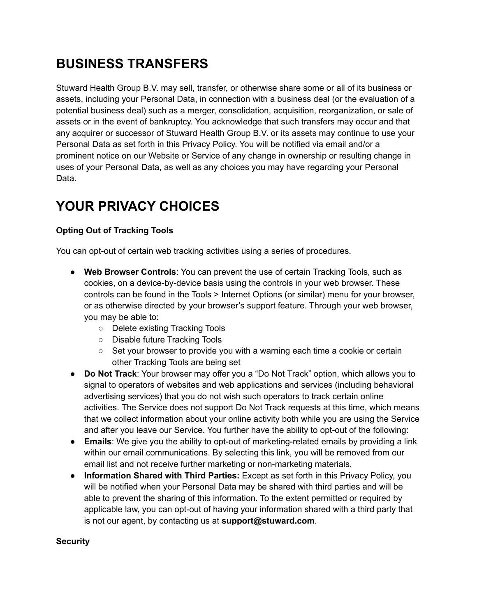# **BUSINESS TRANSFERS**

Stuward Health Group B.V. may sell, transfer, or otherwise share some or all of its business or assets, including your Personal Data, in connection with a business deal (or the evaluation of a potential business deal) such as a merger, consolidation, acquisition, reorganization, or sale of assets or in the event of bankruptcy. You acknowledge that such transfers may occur and that any acquirer or successor of Stuward Health Group B.V. or its assets may continue to use your Personal Data as set forth in this Privacy Policy. You will be notified via email and/or a prominent notice on our Website or Service of any change in ownership or resulting change in uses of your Personal Data, as well as any choices you may have regarding your Personal Data.

# **YOUR PRIVACY CHOICES**

### **Opting Out of Tracking Tools**

You can opt-out of certain web tracking activities using a series of procedures.

- **Web Browser Controls**: You can prevent the use of certain Tracking Tools, such as cookies, on a device-by-device basis using the controls in your web browser. These controls can be found in the Tools > Internet Options (or similar) menu for your browser, or as otherwise directed by your browser's support feature. Through your web browser, you may be able to:
	- Delete existing Tracking Tools
	- Disable future Tracking Tools
	- $\circ$  Set your browser to provide you with a warning each time a cookie or certain other Tracking Tools are being set
- **Do Not Track**: Your browser may offer you a "Do Not Track" option, which allows you to signal to operators of websites and web applications and services (including behavioral advertising services) that you do not wish such operators to track certain online activities. The Service does not support Do Not Track requests at this time, which means that we collect information about your online activity both while you are using the Service and after you leave our Service. You further have the ability to opt-out of the following:
- **Emails**: We give you the ability to opt-out of marketing-related emails by providing a link within our email communications. By selecting this link, you will be removed from our email list and not receive further marketing or non-marketing materials.
- **Information Shared with Third Parties:** Except as set forth in this Privacy Policy, you will be notified when your Personal Data may be shared with third parties and will be able to prevent the sharing of this information. To the extent permitted or required by applicable law, you can opt-out of having your information shared with a third party that is not our agent, by contacting us at **support@stuward.com**.

#### **Security**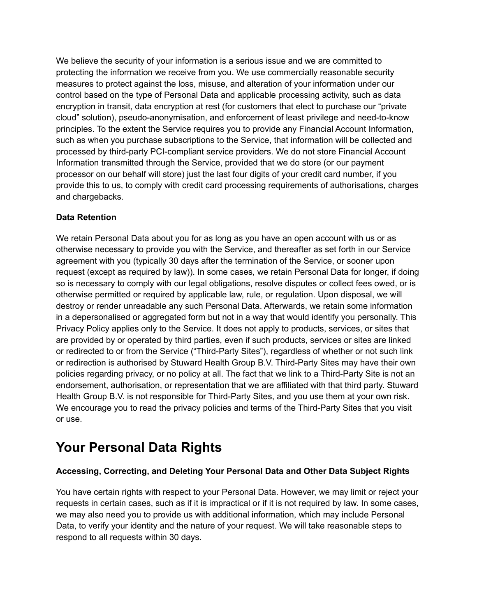We believe the security of your information is a serious issue and we are committed to protecting the information we receive from you. We use commercially reasonable security measures to protect against the loss, misuse, and alteration of your information under our control based on the type of Personal Data and applicable processing activity, such as data encryption in transit, data encryption at rest (for customers that elect to purchase our "private cloud" solution), pseudo-anonymisation, and enforcement of least privilege and need-to-know principles. To the extent the Service requires you to provide any Financial Account Information, such as when you purchase subscriptions to the Service, that information will be collected and processed by third-party PCI-compliant service providers. We do not store Financial Account Information transmitted through the Service, provided that we do store (or our payment processor on our behalf will store) just the last four digits of your credit card number, if you provide this to us, to comply with credit card processing requirements of authorisations, charges and chargebacks.

#### **Data Retention**

We retain Personal Data about you for as long as you have an open account with us or as otherwise necessary to provide you with the Service, and thereafter as set forth in our Service agreement with you (typically 30 days after the termination of the Service, or sooner upon request (except as required by law)). In some cases, we retain Personal Data for longer, if doing so is necessary to comply with our legal obligations, resolve disputes or collect fees owed, or is otherwise permitted or required by applicable law, rule, or regulation. Upon disposal, we will destroy or render unreadable any such Personal Data. Afterwards, we retain some information in a depersonalised or aggregated form but not in a way that would identify you personally. This Privacy Policy applies only to the Service. It does not apply to products, services, or sites that are provided by or operated by third parties, even if such products, services or sites are linked or redirected to or from the Service ("Third-Party Sites"), regardless of whether or not such link or redirection is authorised by Stuward Health Group B.V. Third-Party Sites may have their own policies regarding privacy, or no policy at all. The fact that we link to a Third-Party Site is not an endorsement, authorisation, or representation that we are affiliated with that third party. Stuward Health Group B.V. is not responsible for Third-Party Sites, and you use them at your own risk. We encourage you to read the privacy policies and terms of the Third-Party Sites that you visit or use.

### **Your Personal Data Rights**

### **Accessing, Correcting, and Deleting Your Personal Data and Other Data Subject Rights**

You have certain rights with respect to your Personal Data. However, we may limit or reject your requests in certain cases, such as if it is impractical or if it is not required by law. In some cases, we may also need you to provide us with additional information, which may include Personal Data, to verify your identity and the nature of your request. We will take reasonable steps to respond to all requests within 30 days.